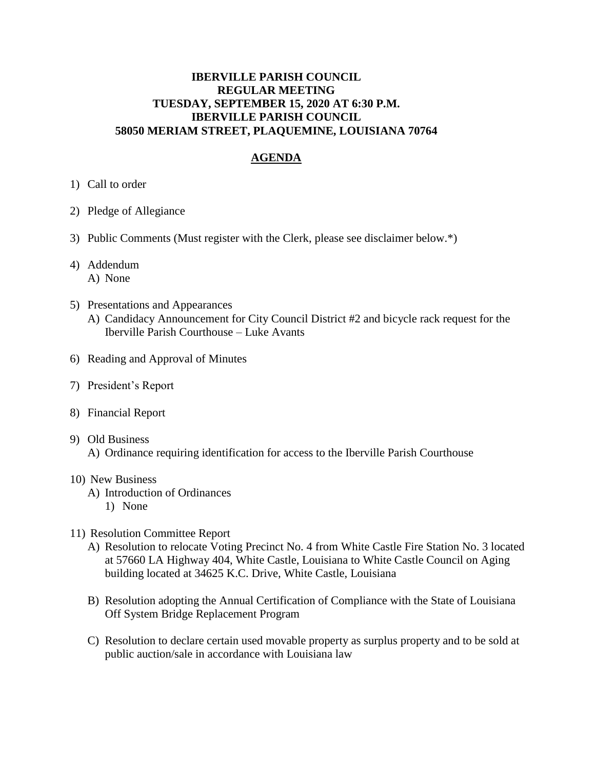### **IBERVILLE PARISH COUNCIL REGULAR MEETING TUESDAY, SEPTEMBER 15, 2020 AT 6:30 P.M. IBERVILLE PARISH COUNCIL 58050 MERIAM STREET, PLAQUEMINE, LOUISIANA 70764**

# **AGENDA**

- 1) Call to order
- 2) Pledge of Allegiance
- 3) Public Comments (Must register with the Clerk, please see disclaimer below.\*)
- 4) Addendum A) None
- 5) Presentations and Appearances A) Candidacy Announcement for City Council District #2 and bicycle rack request for the Iberville Parish Courthouse – Luke Avants
- 6) Reading and Approval of Minutes
- 7) President's Report
- 8) Financial Report

#### 9) Old Business

A) Ordinance requiring identification for access to the Iberville Parish Courthouse

#### 10) New Business

- A) Introduction of Ordinances
	- 1) None
- 11) Resolution Committee Report
	- A) Resolution to relocate Voting Precinct No. 4 from White Castle Fire Station No. 3 located at 57660 LA Highway 404, White Castle, Louisiana to White Castle Council on Aging building located at 34625 K.C. Drive, White Castle, Louisiana
	- B) Resolution adopting the Annual Certification of Compliance with the State of Louisiana Off System Bridge Replacement Program
	- C) Resolution to declare certain used movable property as surplus property and to be sold at public auction/sale in accordance with Louisiana law